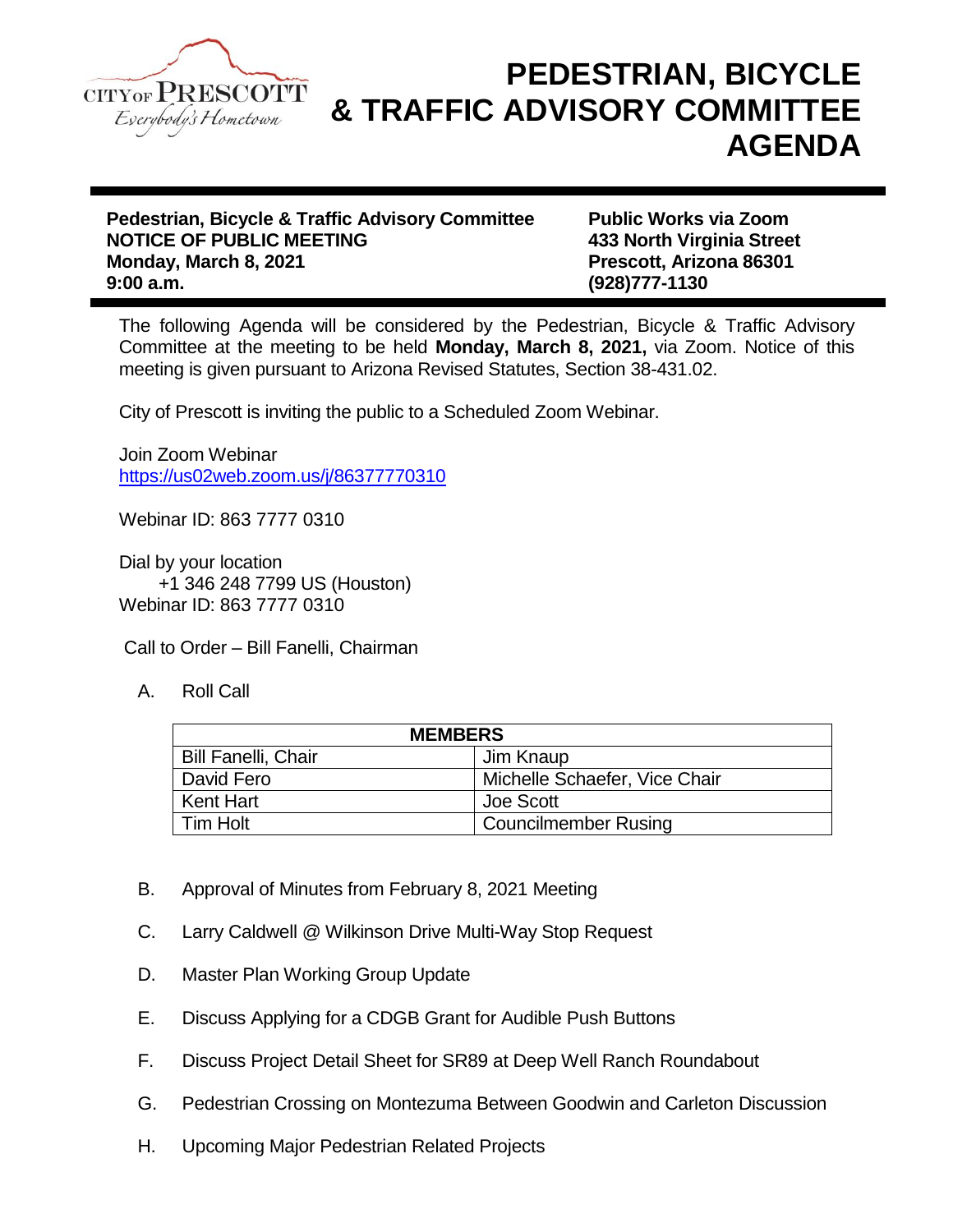

## **PEDESTRIAN, BICYCLE & TRAFFIC ADVISORY COMMITTEE AGENDA**

**Pedestrian, Bicycle & Traffic Advisory Committee Public Works via Zoom NOTICE OF PUBLIC MEETING 433 North Virginia Street Monday, March 8, 2021 Prescott, Arizona 86301 9:00 a.m. (928)777-1130**

The following Agenda will be considered by the Pedestrian, Bicycle & Traffic Advisory Committee at the meeting to be held **Monday, March 8, 2021,** via Zoom. Notice of this meeting is given pursuant to Arizona Revised Statutes, Section 38-431.02.

City of Prescott is inviting the public to a Scheduled Zoom Webinar.

Join Zoom Webinar <https://us02web.zoom.us/j/86377770310>

Webinar ID: 863 7777 0310

Dial by your location +1 346 248 7799 US (Houston) Webinar ID: 863 7777 0310

Call to Order – Bill Fanelli, Chairman

A. Roll Call

| <b>MEMBERS</b>             |                               |
|----------------------------|-------------------------------|
| <b>Bill Fanelli, Chair</b> | Jim Knaup                     |
| David Fero                 | Michelle Schaefer, Vice Chair |
| Kent Hart                  | Joe Scott                     |
| Tim Holt                   | <b>Councilmember Rusing</b>   |

- B. Approval of Minutes from February 8, 2021 Meeting
- C. Larry Caldwell @ Wilkinson Drive Multi-Way Stop Request
- D. Master Plan Working Group Update
- E. Discuss Applying for a CDGB Grant for Audible Push Buttons
- F. Discuss Project Detail Sheet for SR89 at Deep Well Ranch Roundabout
- G. Pedestrian Crossing on Montezuma Between Goodwin and Carleton Discussion
- H. Upcoming Major Pedestrian Related Projects